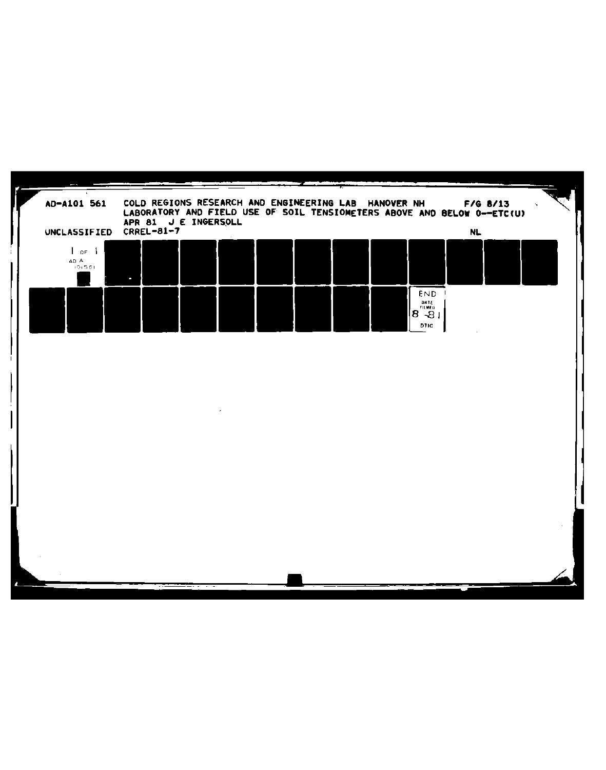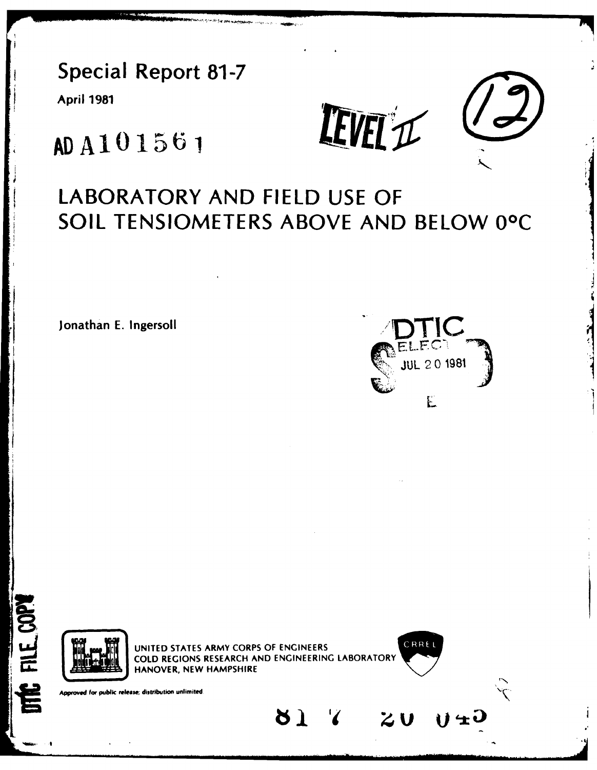**Special Report 81-7** 

**April 1981** 

IEVEL'IC



# AD A101561

## LABORATORY AND FIELD USE OF SOIL TENSIOMETERS ABOVE AND BELOW 0°C

Jonathan E. Ingersoll





Approved for public release; distribution unlimited

FILE COPY

É

UNITED STATES ARMY CORPS OF ENGINEERS COLD REGIONS RESEARCH AND ENGINEERING LABORATORY HANOVER, NEW HAMPSHIRE

 $81$ 



けまし

 $z_{\mathbf{U}}$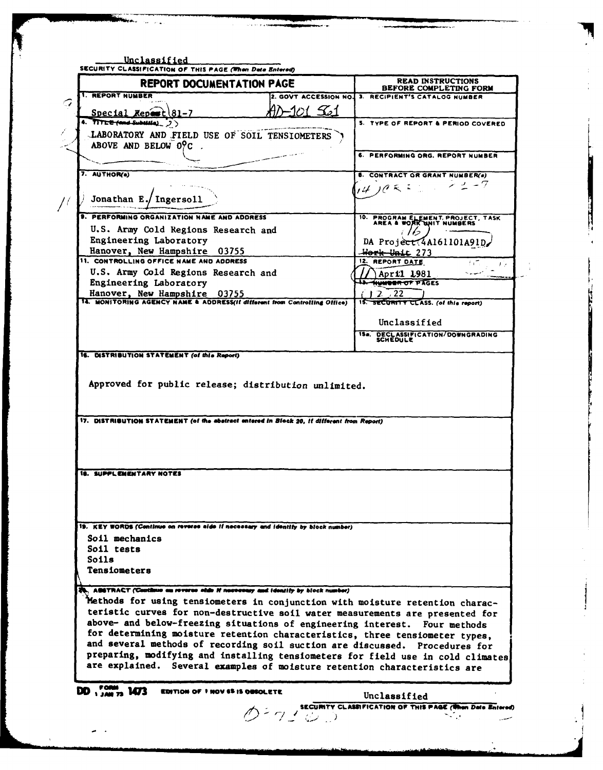| <b>1. REPORT NUMBER</b><br>2. GOVT ACCESSION NO. 3. RECIPIENT'S CATALOG NUMBER<br>n1 561<br>Special Repart 81-7<br>4. TITLE fand Substitut, 2)<br>5. TYPE OF REPORT & PERIOD COVERED<br>LABORATORY AND FIELD USE OF SOIL TENSIOMETERS<br>ABOVE AND BELOW OPC.<br>6. PERFORMING ORG. REPORT NUMBER<br>7. AUTHOR(a)<br><b>8. CONTRACT OR GRANT NUMBER(s)</b><br>$22 - 7$<br>10 <sup>2</sup><br>Jonathan E./ Ingersoll<br>9. PERFORMING ORGANIZATION NAME AND ADDRESS<br>10. PROGRAM ELEMENT, PROJECT, TASK AREA & WORK WHIT NUMBERS<br>U.S. Army Cold Regions Research and<br>Engineering Laboratory<br>DA Project(4A161101A91D<br>Hanover, New Hampshire 03755<br>Work Unit 273<br>11. CONTROLLING OFFICE NAME AND ADDRESS<br>12. REPORT DATE<br>U.S. Army Cold Regions Research and<br>April 1981<br>Engineering Laboratory<br><b>13. WWWOOR OF PAGES</b><br>Hanover, New Hampshire 03755<br>2.72<br>14. MONITORING AGENCY NAME & ADDRESSIT different from Controlling Office)<br>15. SECURITY CLASS. (of this report)<br>Unclassified<br>15a. DECLASSIFICATION/DOWNGRADING<br>SCHEDULE<br>16. DISTRIBUTION STATEMENT (of this Report)<br>Approved for public release; distribution unlimited.<br>17. DISTRIBUTION STATEMENT (of the abstract entered in Block 20, if different from Report)<br>19. KEY WORDS (Continue on reverse aide if necessary and identify by block number)<br>Soil mechanics<br>Soil tests<br>Soils<br><b>Tensiometers</b><br>Methods for using tensiometers in conjunction with moisture retention charac-<br>teristic curves for non-destructive soil water measurements are presented for<br>above- and below-freezing situations of engineering interest. Four methods<br>for determining moisture retention characteristics, three tensiometer types,<br>and several methods of recording soil suction are discussed. Procedures for<br>preparing, modifying and installing tensiometers for field use in cold climates<br>are explained. Several examples of moisture retention characteristics are<br>$DD_{1.441}^{1.004}$ , 1473 | <b>REPORT DOCUMENTATION PAGE</b>                                                | <b>READ INSTRUCTIONS</b><br>BEFORE COMPLETING FORM |
|------------------------------------------------------------------------------------------------------------------------------------------------------------------------------------------------------------------------------------------------------------------------------------------------------------------------------------------------------------------------------------------------------------------------------------------------------------------------------------------------------------------------------------------------------------------------------------------------------------------------------------------------------------------------------------------------------------------------------------------------------------------------------------------------------------------------------------------------------------------------------------------------------------------------------------------------------------------------------------------------------------------------------------------------------------------------------------------------------------------------------------------------------------------------------------------------------------------------------------------------------------------------------------------------------------------------------------------------------------------------------------------------------------------------------------------------------------------------------------------------------------------------------------------------------------------------------------------------------------------------------------------------------------------------------------------------------------------------------------------------------------------------------------------------------------------------------------------------------------------------------------------------------------------------------------------------------------------------------------------------------------------------------------------------------------------|---------------------------------------------------------------------------------|----------------------------------------------------|
|                                                                                                                                                                                                                                                                                                                                                                                                                                                                                                                                                                                                                                                                                                                                                                                                                                                                                                                                                                                                                                                                                                                                                                                                                                                                                                                                                                                                                                                                                                                                                                                                                                                                                                                                                                                                                                                                                                                                                                                                                                                                  |                                                                                 |                                                    |
|                                                                                                                                                                                                                                                                                                                                                                                                                                                                                                                                                                                                                                                                                                                                                                                                                                                                                                                                                                                                                                                                                                                                                                                                                                                                                                                                                                                                                                                                                                                                                                                                                                                                                                                                                                                                                                                                                                                                                                                                                                                                  |                                                                                 |                                                    |
|                                                                                                                                                                                                                                                                                                                                                                                                                                                                                                                                                                                                                                                                                                                                                                                                                                                                                                                                                                                                                                                                                                                                                                                                                                                                                                                                                                                                                                                                                                                                                                                                                                                                                                                                                                                                                                                                                                                                                                                                                                                                  |                                                                                 |                                                    |
|                                                                                                                                                                                                                                                                                                                                                                                                                                                                                                                                                                                                                                                                                                                                                                                                                                                                                                                                                                                                                                                                                                                                                                                                                                                                                                                                                                                                                                                                                                                                                                                                                                                                                                                                                                                                                                                                                                                                                                                                                                                                  |                                                                                 |                                                    |
|                                                                                                                                                                                                                                                                                                                                                                                                                                                                                                                                                                                                                                                                                                                                                                                                                                                                                                                                                                                                                                                                                                                                                                                                                                                                                                                                                                                                                                                                                                                                                                                                                                                                                                                                                                                                                                                                                                                                                                                                                                                                  |                                                                                 |                                                    |
|                                                                                                                                                                                                                                                                                                                                                                                                                                                                                                                                                                                                                                                                                                                                                                                                                                                                                                                                                                                                                                                                                                                                                                                                                                                                                                                                                                                                                                                                                                                                                                                                                                                                                                                                                                                                                                                                                                                                                                                                                                                                  |                                                                                 |                                                    |
|                                                                                                                                                                                                                                                                                                                                                                                                                                                                                                                                                                                                                                                                                                                                                                                                                                                                                                                                                                                                                                                                                                                                                                                                                                                                                                                                                                                                                                                                                                                                                                                                                                                                                                                                                                                                                                                                                                                                                                                                                                                                  |                                                                                 |                                                    |
|                                                                                                                                                                                                                                                                                                                                                                                                                                                                                                                                                                                                                                                                                                                                                                                                                                                                                                                                                                                                                                                                                                                                                                                                                                                                                                                                                                                                                                                                                                                                                                                                                                                                                                                                                                                                                                                                                                                                                                                                                                                                  |                                                                                 |                                                    |
|                                                                                                                                                                                                                                                                                                                                                                                                                                                                                                                                                                                                                                                                                                                                                                                                                                                                                                                                                                                                                                                                                                                                                                                                                                                                                                                                                                                                                                                                                                                                                                                                                                                                                                                                                                                                                                                                                                                                                                                                                                                                  |                                                                                 |                                                    |
|                                                                                                                                                                                                                                                                                                                                                                                                                                                                                                                                                                                                                                                                                                                                                                                                                                                                                                                                                                                                                                                                                                                                                                                                                                                                                                                                                                                                                                                                                                                                                                                                                                                                                                                                                                                                                                                                                                                                                                                                                                                                  |                                                                                 |                                                    |
|                                                                                                                                                                                                                                                                                                                                                                                                                                                                                                                                                                                                                                                                                                                                                                                                                                                                                                                                                                                                                                                                                                                                                                                                                                                                                                                                                                                                                                                                                                                                                                                                                                                                                                                                                                                                                                                                                                                                                                                                                                                                  |                                                                                 |                                                    |
|                                                                                                                                                                                                                                                                                                                                                                                                                                                                                                                                                                                                                                                                                                                                                                                                                                                                                                                                                                                                                                                                                                                                                                                                                                                                                                                                                                                                                                                                                                                                                                                                                                                                                                                                                                                                                                                                                                                                                                                                                                                                  |                                                                                 |                                                    |
|                                                                                                                                                                                                                                                                                                                                                                                                                                                                                                                                                                                                                                                                                                                                                                                                                                                                                                                                                                                                                                                                                                                                                                                                                                                                                                                                                                                                                                                                                                                                                                                                                                                                                                                                                                                                                                                                                                                                                                                                                                                                  |                                                                                 |                                                    |
|                                                                                                                                                                                                                                                                                                                                                                                                                                                                                                                                                                                                                                                                                                                                                                                                                                                                                                                                                                                                                                                                                                                                                                                                                                                                                                                                                                                                                                                                                                                                                                                                                                                                                                                                                                                                                                                                                                                                                                                                                                                                  |                                                                                 |                                                    |
|                                                                                                                                                                                                                                                                                                                                                                                                                                                                                                                                                                                                                                                                                                                                                                                                                                                                                                                                                                                                                                                                                                                                                                                                                                                                                                                                                                                                                                                                                                                                                                                                                                                                                                                                                                                                                                                                                                                                                                                                                                                                  |                                                                                 |                                                    |
|                                                                                                                                                                                                                                                                                                                                                                                                                                                                                                                                                                                                                                                                                                                                                                                                                                                                                                                                                                                                                                                                                                                                                                                                                                                                                                                                                                                                                                                                                                                                                                                                                                                                                                                                                                                                                                                                                                                                                                                                                                                                  |                                                                                 |                                                    |
|                                                                                                                                                                                                                                                                                                                                                                                                                                                                                                                                                                                                                                                                                                                                                                                                                                                                                                                                                                                                                                                                                                                                                                                                                                                                                                                                                                                                                                                                                                                                                                                                                                                                                                                                                                                                                                                                                                                                                                                                                                                                  |                                                                                 |                                                    |
|                                                                                                                                                                                                                                                                                                                                                                                                                                                                                                                                                                                                                                                                                                                                                                                                                                                                                                                                                                                                                                                                                                                                                                                                                                                                                                                                                                                                                                                                                                                                                                                                                                                                                                                                                                                                                                                                                                                                                                                                                                                                  |                                                                                 |                                                    |
|                                                                                                                                                                                                                                                                                                                                                                                                                                                                                                                                                                                                                                                                                                                                                                                                                                                                                                                                                                                                                                                                                                                                                                                                                                                                                                                                                                                                                                                                                                                                                                                                                                                                                                                                                                                                                                                                                                                                                                                                                                                                  |                                                                                 |                                                    |
|                                                                                                                                                                                                                                                                                                                                                                                                                                                                                                                                                                                                                                                                                                                                                                                                                                                                                                                                                                                                                                                                                                                                                                                                                                                                                                                                                                                                                                                                                                                                                                                                                                                                                                                                                                                                                                                                                                                                                                                                                                                                  |                                                                                 |                                                    |
|                                                                                                                                                                                                                                                                                                                                                                                                                                                                                                                                                                                                                                                                                                                                                                                                                                                                                                                                                                                                                                                                                                                                                                                                                                                                                                                                                                                                                                                                                                                                                                                                                                                                                                                                                                                                                                                                                                                                                                                                                                                                  |                                                                                 |                                                    |
|                                                                                                                                                                                                                                                                                                                                                                                                                                                                                                                                                                                                                                                                                                                                                                                                                                                                                                                                                                                                                                                                                                                                                                                                                                                                                                                                                                                                                                                                                                                                                                                                                                                                                                                                                                                                                                                                                                                                                                                                                                                                  |                                                                                 |                                                    |
|                                                                                                                                                                                                                                                                                                                                                                                                                                                                                                                                                                                                                                                                                                                                                                                                                                                                                                                                                                                                                                                                                                                                                                                                                                                                                                                                                                                                                                                                                                                                                                                                                                                                                                                                                                                                                                                                                                                                                                                                                                                                  |                                                                                 |                                                    |
|                                                                                                                                                                                                                                                                                                                                                                                                                                                                                                                                                                                                                                                                                                                                                                                                                                                                                                                                                                                                                                                                                                                                                                                                                                                                                                                                                                                                                                                                                                                                                                                                                                                                                                                                                                                                                                                                                                                                                                                                                                                                  |                                                                                 |                                                    |
|                                                                                                                                                                                                                                                                                                                                                                                                                                                                                                                                                                                                                                                                                                                                                                                                                                                                                                                                                                                                                                                                                                                                                                                                                                                                                                                                                                                                                                                                                                                                                                                                                                                                                                                                                                                                                                                                                                                                                                                                                                                                  |                                                                                 |                                                    |
|                                                                                                                                                                                                                                                                                                                                                                                                                                                                                                                                                                                                                                                                                                                                                                                                                                                                                                                                                                                                                                                                                                                                                                                                                                                                                                                                                                                                                                                                                                                                                                                                                                                                                                                                                                                                                                                                                                                                                                                                                                                                  |                                                                                 |                                                    |
|                                                                                                                                                                                                                                                                                                                                                                                                                                                                                                                                                                                                                                                                                                                                                                                                                                                                                                                                                                                                                                                                                                                                                                                                                                                                                                                                                                                                                                                                                                                                                                                                                                                                                                                                                                                                                                                                                                                                                                                                                                                                  |                                                                                 |                                                    |
|                                                                                                                                                                                                                                                                                                                                                                                                                                                                                                                                                                                                                                                                                                                                                                                                                                                                                                                                                                                                                                                                                                                                                                                                                                                                                                                                                                                                                                                                                                                                                                                                                                                                                                                                                                                                                                                                                                                                                                                                                                                                  | <b>18. SUPPLEMENTARY NOTES</b>                                                  |                                                    |
|                                                                                                                                                                                                                                                                                                                                                                                                                                                                                                                                                                                                                                                                                                                                                                                                                                                                                                                                                                                                                                                                                                                                                                                                                                                                                                                                                                                                                                                                                                                                                                                                                                                                                                                                                                                                                                                                                                                                                                                                                                                                  |                                                                                 |                                                    |
|                                                                                                                                                                                                                                                                                                                                                                                                                                                                                                                                                                                                                                                                                                                                                                                                                                                                                                                                                                                                                                                                                                                                                                                                                                                                                                                                                                                                                                                                                                                                                                                                                                                                                                                                                                                                                                                                                                                                                                                                                                                                  |                                                                                 |                                                    |
|                                                                                                                                                                                                                                                                                                                                                                                                                                                                                                                                                                                                                                                                                                                                                                                                                                                                                                                                                                                                                                                                                                                                                                                                                                                                                                                                                                                                                                                                                                                                                                                                                                                                                                                                                                                                                                                                                                                                                                                                                                                                  |                                                                                 |                                                    |
|                                                                                                                                                                                                                                                                                                                                                                                                                                                                                                                                                                                                                                                                                                                                                                                                                                                                                                                                                                                                                                                                                                                                                                                                                                                                                                                                                                                                                                                                                                                                                                                                                                                                                                                                                                                                                                                                                                                                                                                                                                                                  |                                                                                 |                                                    |
|                                                                                                                                                                                                                                                                                                                                                                                                                                                                                                                                                                                                                                                                                                                                                                                                                                                                                                                                                                                                                                                                                                                                                                                                                                                                                                                                                                                                                                                                                                                                                                                                                                                                                                                                                                                                                                                                                                                                                                                                                                                                  |                                                                                 |                                                    |
|                                                                                                                                                                                                                                                                                                                                                                                                                                                                                                                                                                                                                                                                                                                                                                                                                                                                                                                                                                                                                                                                                                                                                                                                                                                                                                                                                                                                                                                                                                                                                                                                                                                                                                                                                                                                                                                                                                                                                                                                                                                                  |                                                                                 |                                                    |
|                                                                                                                                                                                                                                                                                                                                                                                                                                                                                                                                                                                                                                                                                                                                                                                                                                                                                                                                                                                                                                                                                                                                                                                                                                                                                                                                                                                                                                                                                                                                                                                                                                                                                                                                                                                                                                                                                                                                                                                                                                                                  |                                                                                 |                                                    |
|                                                                                                                                                                                                                                                                                                                                                                                                                                                                                                                                                                                                                                                                                                                                                                                                                                                                                                                                                                                                                                                                                                                                                                                                                                                                                                                                                                                                                                                                                                                                                                                                                                                                                                                                                                                                                                                                                                                                                                                                                                                                  | . ABSTRACT (Continue on reverse ands if necessary and identity by block number) |                                                    |
|                                                                                                                                                                                                                                                                                                                                                                                                                                                                                                                                                                                                                                                                                                                                                                                                                                                                                                                                                                                                                                                                                                                                                                                                                                                                                                                                                                                                                                                                                                                                                                                                                                                                                                                                                                                                                                                                                                                                                                                                                                                                  |                                                                                 |                                                    |
|                                                                                                                                                                                                                                                                                                                                                                                                                                                                                                                                                                                                                                                                                                                                                                                                                                                                                                                                                                                                                                                                                                                                                                                                                                                                                                                                                                                                                                                                                                                                                                                                                                                                                                                                                                                                                                                                                                                                                                                                                                                                  |                                                                                 |                                                    |
|                                                                                                                                                                                                                                                                                                                                                                                                                                                                                                                                                                                                                                                                                                                                                                                                                                                                                                                                                                                                                                                                                                                                                                                                                                                                                                                                                                                                                                                                                                                                                                                                                                                                                                                                                                                                                                                                                                                                                                                                                                                                  |                                                                                 |                                                    |
|                                                                                                                                                                                                                                                                                                                                                                                                                                                                                                                                                                                                                                                                                                                                                                                                                                                                                                                                                                                                                                                                                                                                                                                                                                                                                                                                                                                                                                                                                                                                                                                                                                                                                                                                                                                                                                                                                                                                                                                                                                                                  |                                                                                 |                                                    |
|                                                                                                                                                                                                                                                                                                                                                                                                                                                                                                                                                                                                                                                                                                                                                                                                                                                                                                                                                                                                                                                                                                                                                                                                                                                                                                                                                                                                                                                                                                                                                                                                                                                                                                                                                                                                                                                                                                                                                                                                                                                                  |                                                                                 |                                                    |
|                                                                                                                                                                                                                                                                                                                                                                                                                                                                                                                                                                                                                                                                                                                                                                                                                                                                                                                                                                                                                                                                                                                                                                                                                                                                                                                                                                                                                                                                                                                                                                                                                                                                                                                                                                                                                                                                                                                                                                                                                                                                  |                                                                                 |                                                    |
|                                                                                                                                                                                                                                                                                                                                                                                                                                                                                                                                                                                                                                                                                                                                                                                                                                                                                                                                                                                                                                                                                                                                                                                                                                                                                                                                                                                                                                                                                                                                                                                                                                                                                                                                                                                                                                                                                                                                                                                                                                                                  |                                                                                 |                                                    |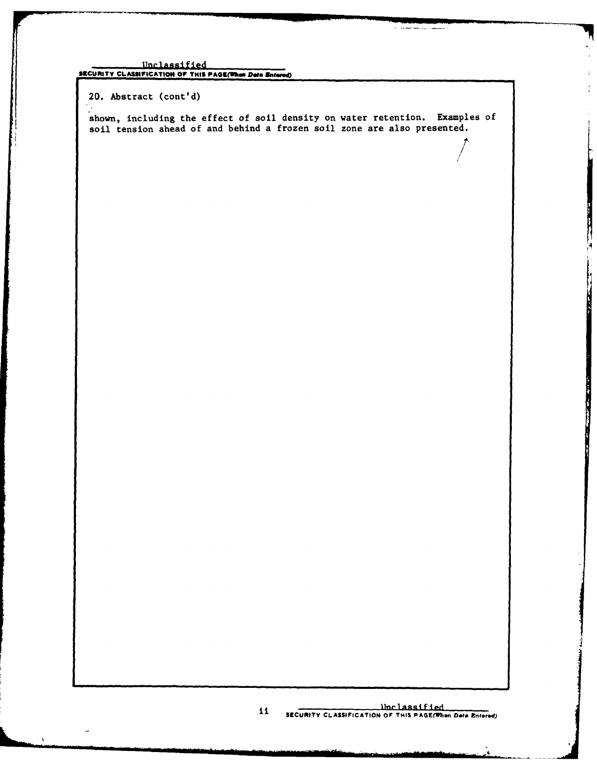20. Abstract (cont'd)

shown, including the effect of soil density on water retention. Examples of soil tension ahead of and behind a frozen soil zone are also presented.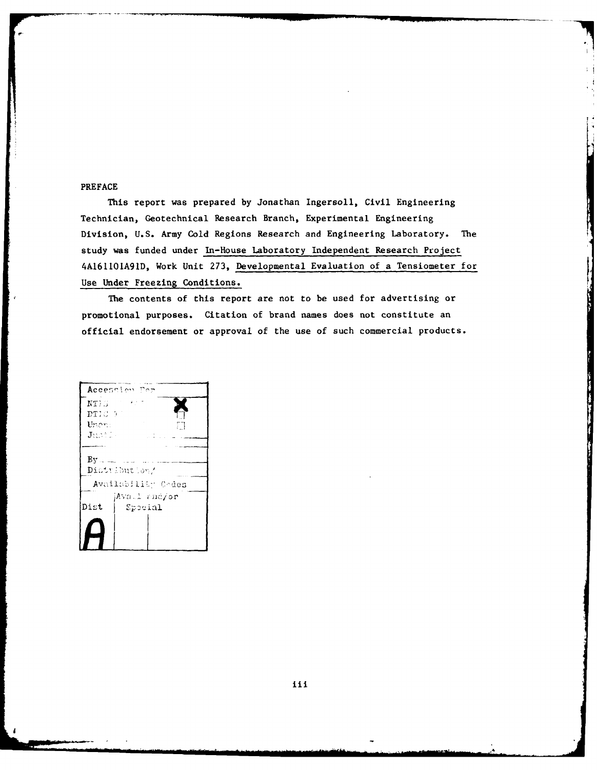#### PREFACE

This report was prepared by Jonathan Ingersoll, Civil Engineering Technician, Geotechnical Research Branch, Experimental Engineering Division, U.S. Army Cold Regions Research and Engineering Laboratory. The study was funded under In-House Laboratory Independent Research Project 4AI61101A91D, Work Unit 273, Developmental Evaluation of a Tensiometer for Use Under Freezing Conditions.

The contents of this report are not to be used for advertising or promotional purposes. Citation of brand names does not constitute an official endorsement or approval of the use of such commercial products.

Accession For  $\alpha=\frac{1}{2}$  ,  $\alpha=1$  $NT \times$ DTIC 57 Unen:  $\mathbf{J}$  and  $\mathbb{Z}$  $By$   $\ldots$ Distribution/ Availability Codes Dist Special

**iii**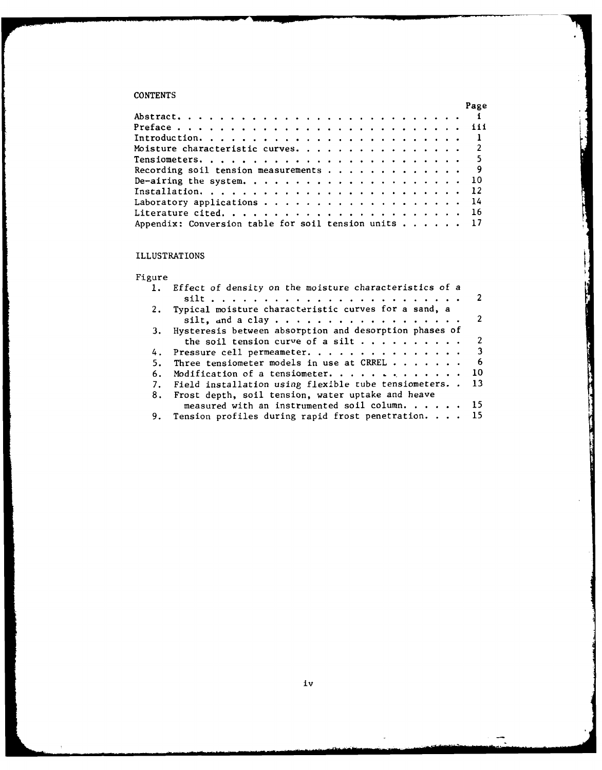## **CONTENTS**

|                                                      |  |  |  |  |  |  |  |  |  |  |  |  |  | Page |
|------------------------------------------------------|--|--|--|--|--|--|--|--|--|--|--|--|--|------|
|                                                      |  |  |  |  |  |  |  |  |  |  |  |  |  |      |
|                                                      |  |  |  |  |  |  |  |  |  |  |  |  |  |      |
|                                                      |  |  |  |  |  |  |  |  |  |  |  |  |  |      |
| Moisture characteristic curves. 2                    |  |  |  |  |  |  |  |  |  |  |  |  |  |      |
|                                                      |  |  |  |  |  |  |  |  |  |  |  |  |  |      |
| Recording soil tension measurements 9                |  |  |  |  |  |  |  |  |  |  |  |  |  |      |
|                                                      |  |  |  |  |  |  |  |  |  |  |  |  |  |      |
|                                                      |  |  |  |  |  |  |  |  |  |  |  |  |  |      |
| Laboratory applications 14                           |  |  |  |  |  |  |  |  |  |  |  |  |  |      |
|                                                      |  |  |  |  |  |  |  |  |  |  |  |  |  |      |
| Appendix: Conversion table for soil tension units 17 |  |  |  |  |  |  |  |  |  |  |  |  |  |      |

## ILLUSTRATIONS

## Figure

|    | 1. Effect of density on the moisture characteristics of a    |  |
|----|--------------------------------------------------------------|--|
|    |                                                              |  |
|    | 2. Typical moisture characteristic curves for a sand, a      |  |
|    |                                                              |  |
|    | 3. Hysteresis between absorption and desorption phases of    |  |
|    | the soil tension curve of a silt $\cdots$ 2                  |  |
|    | 4. Pressure cell permeameter. 3                              |  |
| 5. | Three tensiometer models in use at CRREL 6                   |  |
| 6. | Modification of a tensioneter. 10                            |  |
|    | 7. Field installation using flexible tube tensiometers. . 13 |  |
|    | 8. Frost depth, soil tension, water uptake and heave         |  |
|    | measured with an instrumented soil column. 15                |  |
|    | 9. Tension profiles during rapid frost penetration. 15       |  |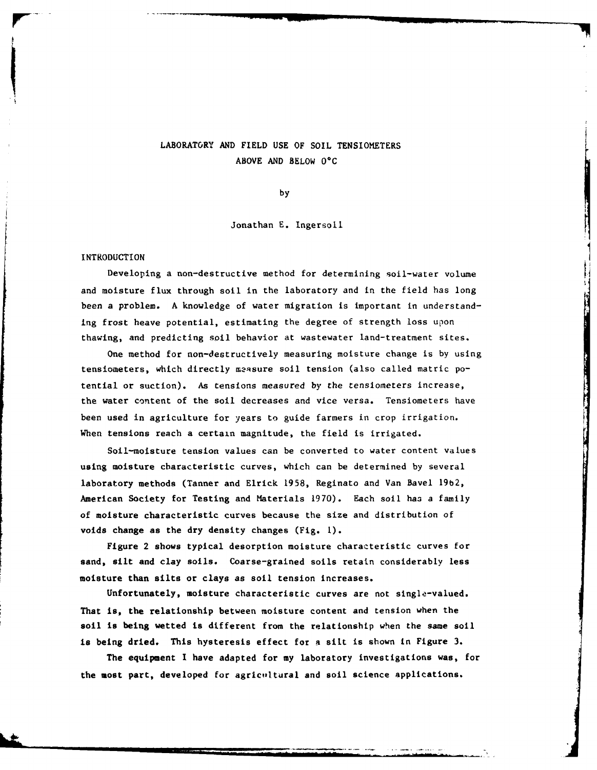## LABORATORY AND **FIELD USE** OF **SOIL TENSIOMETERS ABOVE AND** BELOW **OC**

**by**

Jonathan E. Ingersoll

#### INTRODUCTION

**pW-** *www.fraction.com/second-second-second-second-second-second-second-second-second-second-second-second-second-second-second-second-second-second-second-second-second-second-second-second-second-second-second-second-s* 

Developing a non-destructive method for determining soil-water volume and moisture flux through soil in the laboratory and in the field has long been a problem. A knowledge of water migration is important in understanding frost heave potential, estimating the degree of strength loss upon thawing, and predicting soil behavior at wastewater land-treatment sites.

One method for non-destructively measuring moisture change is by using tensiometers, which directly measure soil tension (also called matric potential or suction). As tensions measured by the tensiometers increase, the water content of the soil decreases and vice versa. Tensiometers have been used in agriculture for years to guide farmers in crop irrigation. When tensions reach a certain magnitude, the field is irrigated.

Soil-moisture tension values can be converted to water content values using moisture characteristic curves, which can be determined **by** several laboratory methods (Tanner and Elrick 1958, Reginato and Van Bavel **19b2,** American Society for Testing and Materials 1970). Each soil haa a family of moisture characteristic curves because the size and distribution of voids change as the dry density changes (Fig. **1).**

Figure 2 shows typical desorption moisture characteristic curves for sand, silt and clay soils. Coarse-grained soils retain considerably less moisture than silts or clays as soil tension increases.

Unfortunately, moisture characteristic curves are not single-valued. That is, the relationship between moisture content and tension when the soil is being wetted is different from the relationship when the same soil is being dried. This hysteresis effect for a silt is shown in Figure **3.**

The equipment I have adapted for my laboratory investigations was, for the most part, developed for agricultural and soil science applications.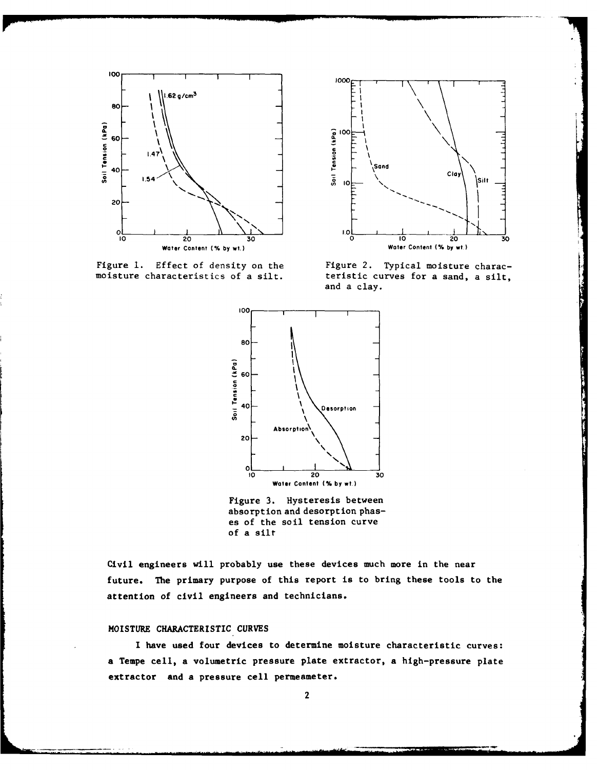



Figure 1. Effect of density on the Figure 2. Typical moisture charac-moisture charac-moisture characteristics of a silt. teristic curves for a sand, a silt, and a clay.



Figure **3.** Hysteresis between absorption and desorption phases of the soil tension curve of a silt

Civil engineers will probably use these devices much more in the near future. The primary purpose of this report is to bring these tools to the attention of civil engineers and technicians.

#### MOISTURE CHARACTERISTIC **CURVES**

I have used four devices to determine moisture characteristic curves: a Tempe cell, a volumetric pressure plate extractor, a high-pressure plate extractor and a pressure cell permeameter.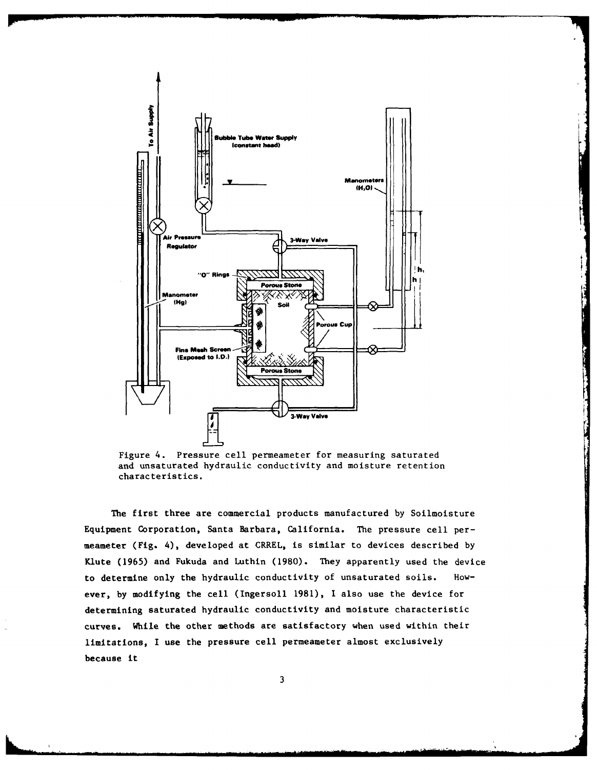

Figure 4. Pressure cell permeameter for measuring saturated and unsaturated hydraulic conductivity and moisture retention characteristics.

The first three are commercial products manufactured by Soilmoisture Equipment Corporation, Santa Barbara, California. The pressure cell permeameter (Fig. 4), developed at CRREL, is similar to devices described by Klute (1965) and Fukuda and Luthin (1980). They apparently used the device to determine only the hydraulic conductivity of unsaturated soils. However, by modifying the cell (Ingersoll 1981), I also use the device for determining saturated hydraulic conductivity and moisture characteristic curves. While the other methods are satisfactory when used within their limitations, I use the pressure cell permeameter almost exclusively because it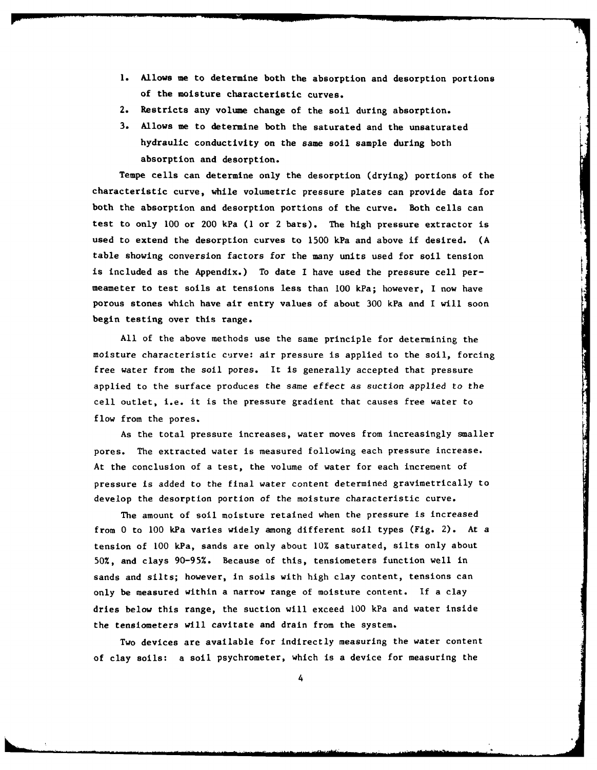- **1.** Allows me to determine both the absorption and desorption portions of the moisture characteristic curves.
- 2. Restricts any volume change of the soil during absorption.
- **3.** Allows me to determine both the saturated and the unsaturated hydraulic conductivity on the same soil sample during both absorption and desorption.

Tempe cells can determine only the desorption (drying) portions of the characteristic curve, while volumetric pressure plates can provide data for both the absorption and desorption portions of the curve. Both cells can test to only **100** or 200 kPa **(1** or 2 bars). The high pressure extractor is used to extend the desorption curves to **1500** kPa and above if desired. **(A** table showing conversion factors for the many units used for soil tension is included as the Appendix.) To date I have used the pressure cell permeameter to test soils at tensions less than **100** kPa; however, I now have porous stones which have air entry values of about 300 kPa and I will soon begin testing over this range.

All of the above methods use the same principle for determining the moisture characteristic curve: air pressure is applied to the soil, forcing free water from the soil pores. It is generally accepted that pressure applied to the surface produces the same effect as suction applied to the cell outlet, i.e. it is the pressure gradient that causes free water to flow from the pores.

As the total pressure increases, water moves from increasingly smaller pores. The extracted water is measured following each pressure increase. At the conclusion of a test, the volume of water for each increment of pressure is added to the final water content determined gravimetrically to develop the desorption portion of the moisture characteristic curve.

The amount of soil moisture retained when the pressure is increased from 0 to **100** kPa varies widely among different soil types (Fig. 2). At a tension of **100** kPa, sands are only about 10% saturated, silts only about 50%, and clays 90-95%. Because of this, tensiometers function well in sands and silts; however, in soils with high clay content, tensions can only be measured within a narrow range of moisture content. **If** a clay dries below this range, the suction will exceed **100** kPa and water inside the tensiometers will cavitate and drain from the system.

Two devices are available for indirectly measuring the water content of clay soils: a soil psychrometer, which is a device for measuring the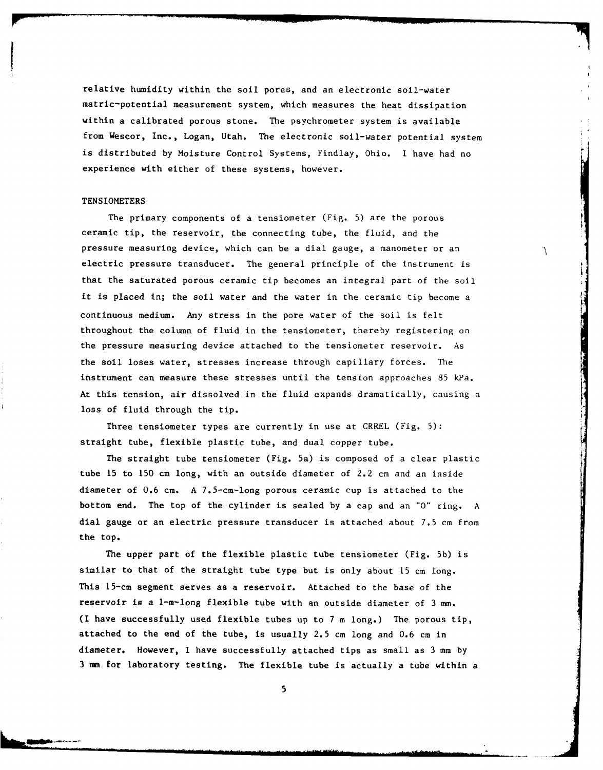relative humidity within the soil pores, and an electronic soil-water matric-potential measurement system, which measures the heat dissipation within a calibrated porous stone. The psychrometer system is available from Wescor, Inc., Logan, Utah. The electronic soil-water potential system is distributed by Moisture Control Systems, Findlay, Ohio. I have had no experience with either of these systems, however.

#### **TENSIOMETERS**

I

The primary components of a tensiometer (Fig. 5) are the porous ceramic tip, the reservoir, the connecting tube, the fluid, and the pressure measuring device, which can be a dial gauge, a manometer or an electric pressure transducer. The general principle of the instrument is that the saturated porous ceramic tip becomes an integral part of the soil it is placed in; the soil water and the water in the ceramic tip become a continuous medium. Any stress in the pore water of the soil is felt throughout the column of fluid in the tensiometer, thereby registering on the pressure measuring device attached to the tensiometer reservoir. As the soil loses water, stresses increase through capillary forces. The instrument can measure these stresses until the tension approaches 85 kPa. At this tension, air dissolved in the fluid expands dramatically, causing a loss of fluid through the tip.

٦

Three tensiometer types are currently in use at CRREL (Fig.  $5$ ): straight tube, flexible plastic tube, and dual copper tube.

The straight tube tensiometer (Fig. 5a) is composed of a clear plastic tube 15 to 150 cm long, with an outside diameter of 2.2 cm and an inside diameter of 0.6 cm. A 7.5-cm-long porous ceramic cup is attached to the bottom end. The top of the cylinder is sealed by a cap and an **"O"** ring. A dial gauge or an electric pressure transducer is attached about 7.5 cm from the top.

The upper part of the flexible plastic tube tensiometer (Fig. **5b)** is similar to that of the straight tube type but is only about 15 cm long. This 15-cm segment serves as a reservoir. Attached to the base of the reservoir is a 1-m-long flexible tube with an outside diameter of 3 mm. (I have successfully used flexible tubes up to 7 m long.) The porous tip, attached to the end of the tube, is usually 2.5 cm long and 0.6 cm in diameter. However, I have successfully attached tips as small as 3 mm by 3 mm for laboratory testing. The flexible tube is actually a tube within a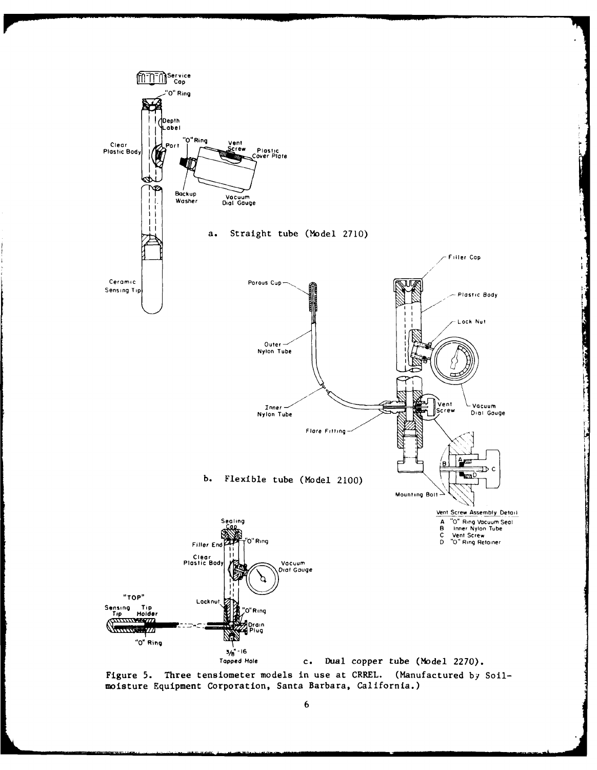

Figure 5. Three tensiometer models in use at CRREL. (Manufactured by Soilmoisture Equipment Corporation, Santa Barbara, California.)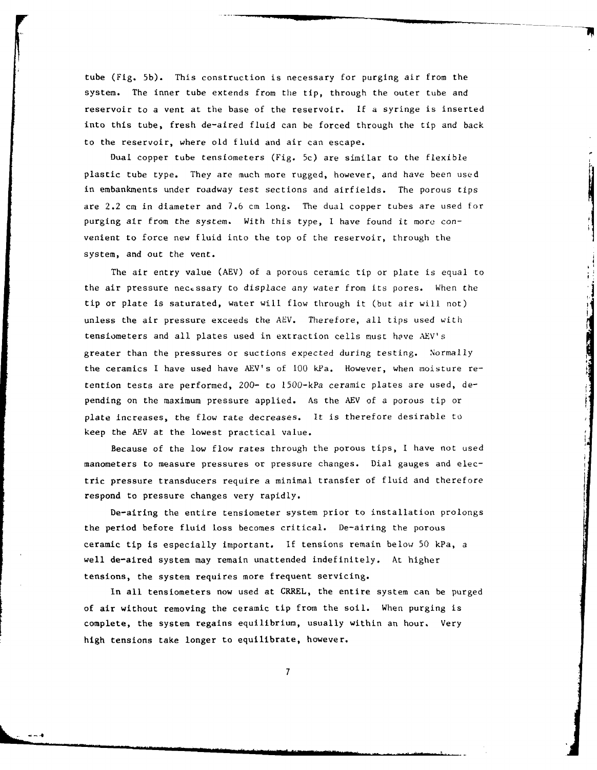tube (Fig. 5b). This construction is necessary for purging air from the system. The inner tube extends from the tip, through the outer tube and reservoir to a vent at the base of the reservoir. If a syringe is inserted into this tube, fresh de-aired fluid can be forced through the tip and back to the reservoir, where old fluid and air can escape.

Dual copper tube tensiometers (Fig. 5c) are similar to the flexible plastic tube type. They are much more rugged, however, and have been used in embankments under roadway test sections and airfields. The porous tips are 2.2 cm in diameter and 7.6 cm long. The dual copper tubes are used for purging air from the system. With this type, **I** have found it more convenient to force new fluid into the top of the reservoir, through the system, and out the vent.

The air entry value (AEV) of a porous ceramic tip or plate is equal to the air pressure necessary to displace any water from its pores. When the tip or plate is saturated, water will flow through it (but air will not) unless the air pressure exceeds the AEV. Therefore, all tips used with tensiometers and all plates used in extraction cells must have AEV's greater than the pressures or suctions expected during testing. Normally the ceramics I have used have AEV's of 100 kPa. However, when moisture retention tests are performed, 200- to 1500-kPa ceramic plates are used, depending on the maximum pressure applied. As the AEV of a porous tip or plate increases, the flow rate decreases. It is therefore desirable to keep the AEV at the lowest practical value.

Because of the low flow rates through the porous tips, I have not used manometers to measure pressures or pressure changes. Dial gauges and electric pressure transducers require a minimal transfer of fluid and therefore respond to pressure changes very rapidly.

De-airing the entire tensiometer system prior to installation prolongs the period before fluid loss becomes critical. De-airing the porous ceramic tip is especially important. **If** tensions remain below 50 kPa, a well de-aired system may remain unattended indefinitely. At higher tensions, the system requires more frequent servicing.

In all tensiometers now used at CRREL, the entire system can be purged of air without removing the ceramic tip from the soil. When purging is complete, the system regains equilibrium, usually within an hour. Very high tensions take longer to equilibrate, however.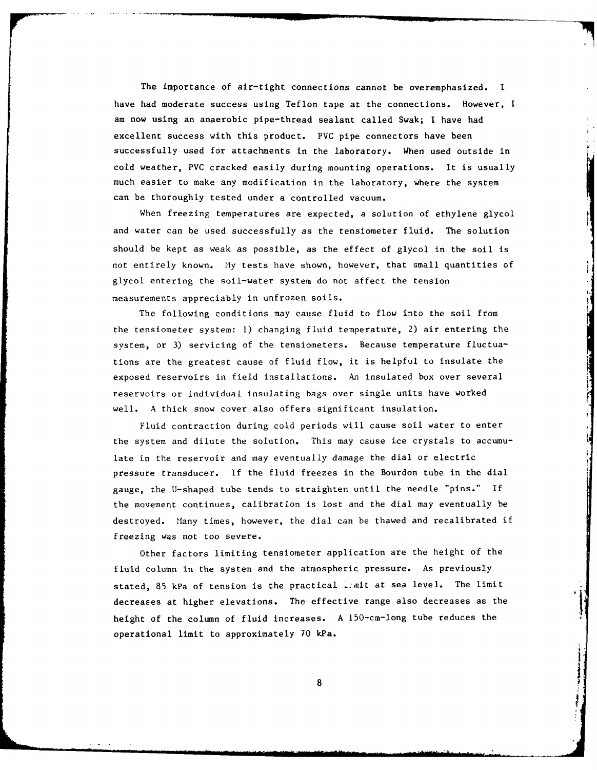The importance of air-tight connections cannot be overemphasized. I have had moderate success using Teflon tape at the connections. However, **I** am now using an anaerobic pipe-thread sealant called Swak; I have had excellent success with this product. PVC pipe connectors have been successfully used for attachments in the laboratory. When used outside in cold weather, PVC cracked easily during mounting operations. It is usually much easier to make any modification in the laboratory, where the system can be thoroughly tested under a controlled vacuum.

When freezing temperatures are expected, a solution of ethylene glycol and water can be used successfully as the tensiometer fluid. The solution should be kept as weak as possible, as the effect of glycol in the soil is not entirely known. **1ly** tests have shown, however, that small quantities of glycol entering the soil-water system do not affect the tension measurements appreciably in unfrozen soils.

The following conditions may cause fluid to flow into the soil from the tensiometer system: **1)** changing fluid temperature, 2) air entering the system, or 3) servicing of the tensiometers. Because temperature fluctuations are the greatest cause of fluid flow, it is helpful to insulate the exposed reservoirs in field installations. An insulated box over several reservoirs or individual insulating bags over single units have worked well. A thick snow cover also offers significant insulation.

Fluid contraction during cold periods will cause soil water to enter the system and dilute the solution. This may cause ice crystals to accumulate in the reservoir and may eventually damage the dial or electric pressure transducer. If the fluid freezes in the Bourdon tube in the dial gauge, the U-shaped tube tends to straighten until the needle "pins." If the movement continues, calibration is lost and the dial may eventually be destroyed. Many times, however, the dial can be thawed and recalibrated if freezing was not too severe.

Other factors limiting tensiometer application are the height of the fluid column in the system and the atmospheric pressure. As previously stated, 85 kPa of tension is the practical ienit at sea level. The limit decreases at higher elevations. The effective range also decreases as the height of the column of fluid increases. A 150-cm-long tube reduces the operational limit to approximately 70 kPa.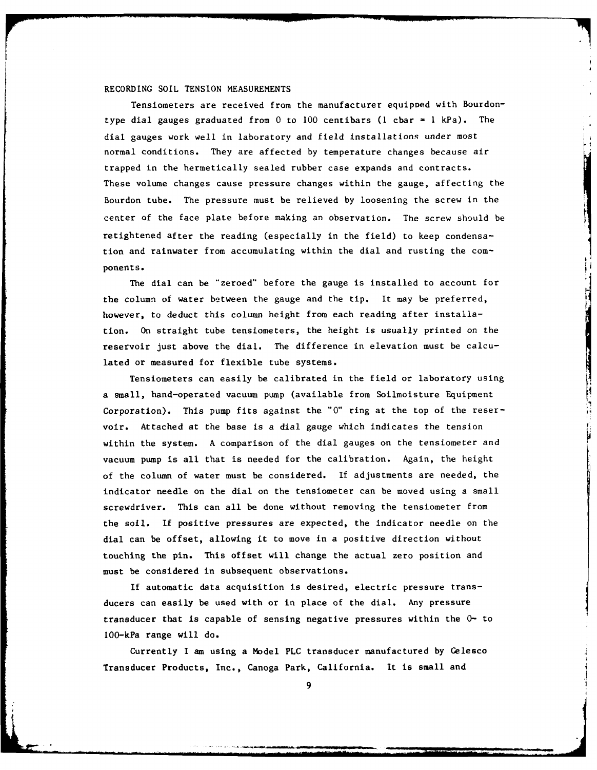#### RECORDING SOIL TENSION MEASUREMENTS

Tensiometers are received from the manufacturer equipoed with Bourdontype dial gauges graduated from 0 to 100 centibars (1 cbar = 1 kPa). The dial gauges work well in laboratory and field installations under most normal conditions. They are affected by temperature changes because air trapped in the hermetically sealed rubber case expands and contracts. These volume changes cause pressure changes within the gauge, affecting the Bourdon tube. The pressure must be relieved by loosening the screw in the center of the face plate before making an observation. The screw should be retightened after the reading (especially in the field) to keep condensation and rainwater from accumulating within the dial and rusting the components.

The dial can be "zeroed" before the gauge is installed to account for the column of water between the gauge and the tip. It may be preferred, however, to deduct this column height from each reading after installation. On straight tube tensiometers, the height is usually printed on the reservoir just above the dial. The difference in elevation must be calculated or measured for flexible tube systems.

Tensiometers can easily be calibrated in the field or laboratory using a small, hand-operated vacuum pump (available from Soilmoisture Equipment Corporation). This pump fits against the **"0"** ring at the top of the reservoir. Attached at the base is a dial gauge which indicates the tension within the system. A comparison of the dial gauges on the tensiometer and vacuum pump is all that is needed for the calibration. Again, the height of the column of water must be considered. If adjustments are needed, the indicator needle on the dial on the tensiometer can be moved using a small screwdriver. This can all be done without removing the tensiometer from the soil. If positive pressures are expected, the indicator needle on the dial can be offset, allowing it to move in a positive direction without touching the pin. This offset will change the actual zero position and must be considered in subsequent observations.

If automatic data acquisition is desired, electric pressure transducers can easily be used with or in place of the dial. Any pressure transducer that is capable of sensing negative pressures within the **0-** to IO0-kPa range will do.

Currently I am using a Model PLC transducer manufactured by Celesco Transducer Products, Inc., Canoga Park, California. It is small and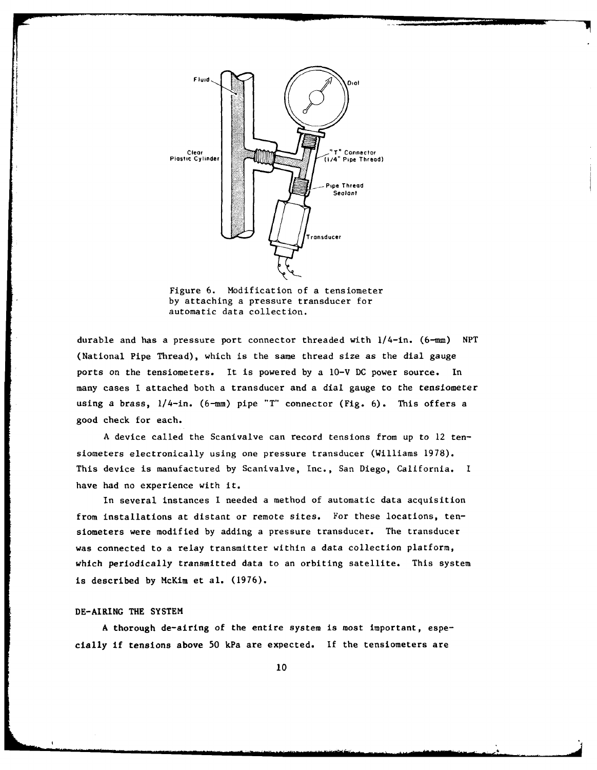Fluid Dial Clear Plastic Cylinder | Connector Pipe Thread) Pipe Thread Sealant Transducer

Figure **6.** Modification of a tensiometer **by** attaching a pressure transducer for automatic data collection.

durable and has a pressure port connector threaded with  $1/4$ -in. (6-mm) NPT (National Pipe Thread), which is the same thread size as the dial gauge ports on the tensiometers. It is powered by a 10-V **DC** power source. In many cases I attached both a transducer and a dial gauge to the tensiometer using a brass, 1/4-in. (6-mm) pipe "T" connector (Fig. 6). This offers a good check for each.

A device called the Scanivalve can record tensions from up to 12 tensiometers electronically using one pressure transducer (Williams 1978). This device is manufactured by Scanivalve, Inc., San Diego, California. I have had no experience with it.

In several instances I needed a method of automatic data acquisition from installations at distant or remote sites. For these locations, tensiometers were modified by adding a pressure transducer. The transducer was connected to a relay transmitter within a data collection platform, which periodically transmitted data to an orbiting satellite. This system is described by McKim et al. (1976).

#### DE-AIRING THE SYSTEM

A thorough de-airing of the entire system is most important, especially if tensions above 50 kPa are expected. If the tensiometers are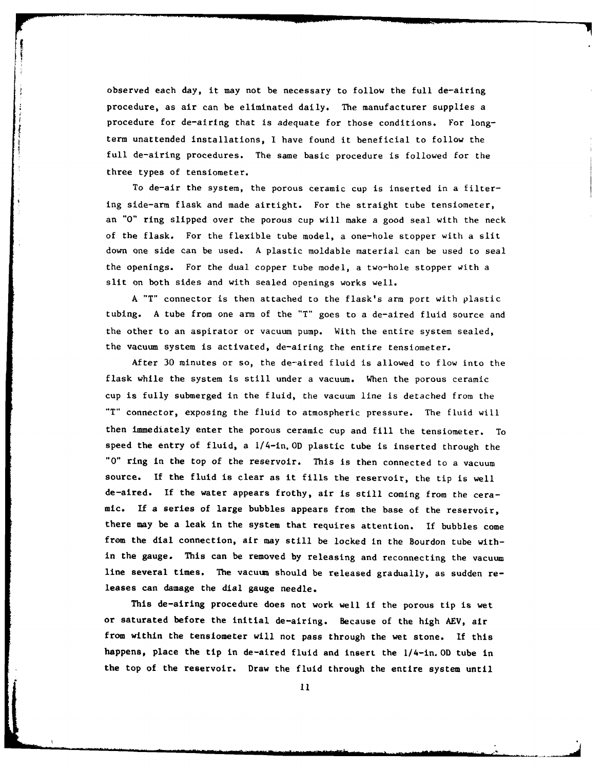observed each day, it may not be necessary to follow the full de-airing procedure, as air can be eliminated daily. The manufacturer supplies a procedure for de-airing that is adequate for those conditions. For longterm unattended installations, I have found it beneficial to follow the full de-airing procedures. The same basic procedure is followed for the three types of tensiometer.

To de-air the system, the porous ceramic cup is inserted in a filtering side-arm flask and made airtight. For the straight tube tensiometer, an **"0"** ring slipped over the porous cup will make a good seal with the neck of the flask. For the flexible tube model, a one-hole stopper with a slit down one side can be used. A plastic moldable material can be used to seal the openings. For the dual copper tube model, a two-hole stopper with a slit on both sides and with sealed openings works well.

A "T" connector is then attached to the flask's arm port with plastic tubing. A tube from one arm of the "T" goes to a de-aired fluid source and the other to an aspirator or vacuum pump. With the entire system sealed, the vacuum system is activated, de-airing the entire tensiometer.

After 30 minutes or so, the de-aired fluid is allowed to flow into the flask while the system is still under a vacuum. When the porous ceramic cup is fully submerged in the fluid, the vacuum line is detached from the "T" connector, exposing the fluid to atmospheric pressure. The fluid will then immediately enter the porous ceramic cup and fill the tensiometer. To speed the entry of fluid, a 1/4-in. OD plastic tube is inserted through the **"0"** ring in the top of the reservoir. This is then connected to a vacuum source. If the fluid is clear as it fills the reservoir, the tip is well de-aired. If the water appears frothy, air is still coming from the ceramic. If a series of large bubbles appears from the base of the reservoir, there may be a leak in the system that requires attention. If bubbles come from the dial connection, air may still be locked in the Bourdon tube within the gauge. This can be removed by releasing and reconnecting the vacuum line several times. The vacuum should be released gradually, as sudden releases can damage the dial gauge needle.

This de-airing procedure does not work well if the porous tip is wet or saturated before the initial de-airing. Because of the high AEV, air from within the tensiometer will not pass through the wet stone. If this happens, place the tip in de-aired fluid and insert the 1/4-in. OD tube in the top of the reservoir. Draw the fluid through the entire system until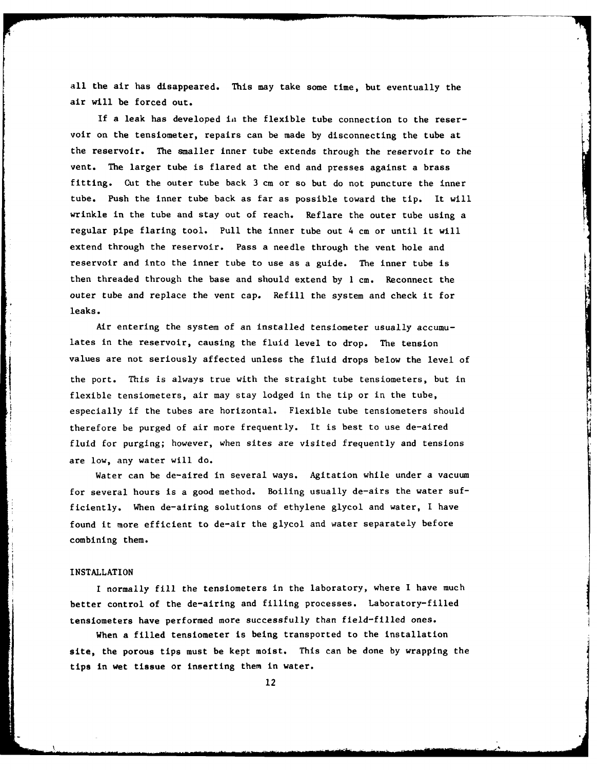all the air has disappeared. This may take some time, but eventually the air will be forced out.

If a leak has developed in the flexible tube connection to the reservoir on the tensiometer, repairs can be made by disconnecting the tube at the reservoir. The smaller inner tube extends through the reservoir to the vent. The larger tube is flared at the end and presses against a brass fitting. Cut the outer tube back 3 cm or so but do not puncture the inner tube. Push the inner tube back as far as possible toward the tip. It will wrinkle in the tube and stay out of reach. Reflare the outer tube using a regular pipe flaring tool. Pull the inner tube out 4 cm or until it will extend through the reservoir. Pass a needle through the vent hole and reservoir and into the inner tube to use as a guide. The inner tube is then threaded through the base and should extend by **1** cm. Reconnect the outer tube and replace the vent cap. Refill the system and check it for leaks.

Air entering the system of an installed tensiometer usually accumulates in the reservoir, causing the fluid level to drop. The tension values are not seriously affected unless the fluid drops below the level of the port. This is always true with the straight tube tensiometers, but in flexible tensiometers, air may stay lodged in the tip or in the tube, especially if the tubes are horizontal. Flexible tube tensiometers should therefore be purged of air more frequently. It is best to use de-aired fluid for purging; however, when sites are visited frequently and tensions are low, any water will do.

Water can be de-aired in several ways. Agitation while under a vacuum for several hours is a good method. Boiling usually de-airs the water sufficiently. When de-airing solutions of ethylene glycol and water, I have found it more efficient to de-air the glycol and water separately before combining them.

#### INSTALLATION

**r** I

I normally fill the tensiometers in the laboratory, where I have much better control of the de-airing and filling processes. Laboratory-filled tensiometers have performed more successfully than field-filled ones.

When a filled tensiometer is being transported to the installation site, the porous tips must be kept moist. This can be done by wrapping the tips in wet tissue or inserting them in water.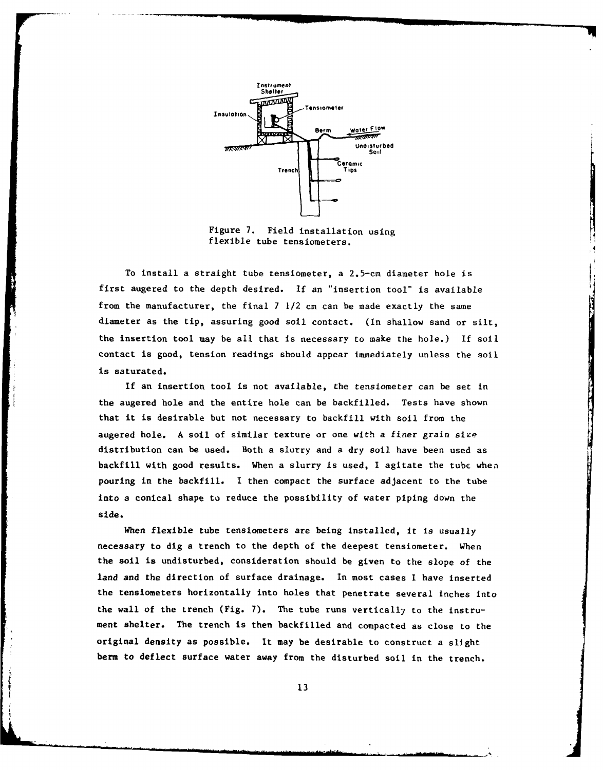

Figure **7.** Field installation using flexible tube tensiometers.

To install a straight tube tensiometer, a 2.5-cm diameter hole is first augered to the depth desired. If an "insertion tool" is available from the manufacturer, the final **7** /2 cm can be made exactly the same diameter as the tip, assuring good soil contact. **(In** shallow sand or silt, the insertion tool may be all that is necessary to make the hole.) **If** sol contact is good, tension readings should appear immediately unless the soil is **saturated.**

If an insertion tool is not available, the tensiometer can be set in **the** augered hole and the entire hole can be backfilled. Tests have shown that it is desirable but not necessary to backfill with soil from the augered hole. A soil of similar texture or one with a finer grain size distribution can be used. Both a slurry and a dry soil have been used as backfill with good results. When a slurry is used, I agitate the tube when pouring in the backfill. I then **compact** the surface adjacent to **the tube** into a conical shape to reduce the possibility of water piping down the side.

**When** flexible tube tens1ometers are being Installed, it is usually necessary to **dig** a trench **to** the depth of **the** deepest tensiometer. When **the** soil **is** undisturbed, consideration should be given to the slope **of** the **land and the** direction **of surface** drainage. In most **cases** I have inserted **the tensiometers** horizontally into holes that penetrate several inches into **the** wall **of the trench** (Fig. **7).** The tube runs vertically to the instru**ment shelter. The trench is** then backfilled and compacted **as** close to the original **density** as possible. **It** may **be** desirable **to** construct a slight berm **to deflect surface water away** from **the** disturbed **soil** in the trench.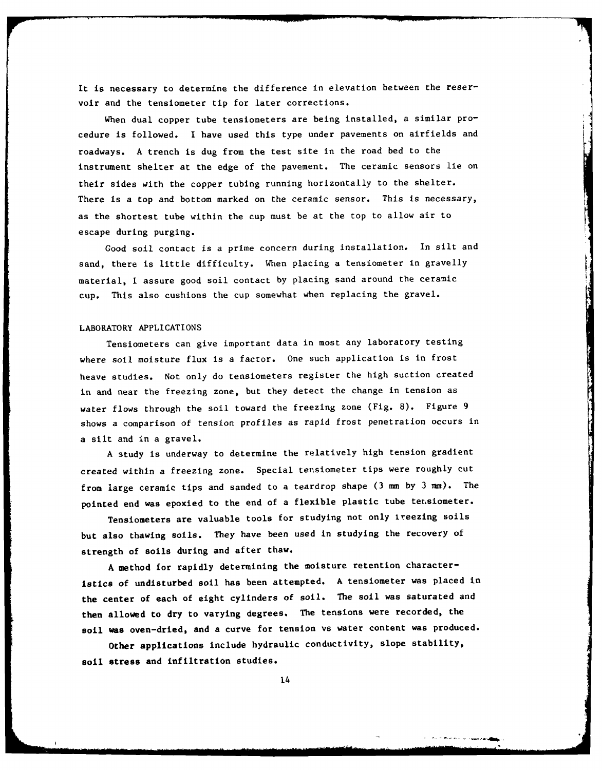It is necessary to determine the difference in elevation between the reservoir and the tensiometer tip for later corrections.

When dual copper tube tensiometers are being installed, a similar procedure is followed. I have used this type under pavements on airfields and roadways. A trench is dug from the test site in the road bed to the instrument shelter at the edge of the pavement. The ceramic sensors lie on their sides with the copper tubing running horizontally to the shelter. There is a top and bottom marked on the ceramic sensor. This is necessary, as the shortest tube within the cup must be at the top to allow air to escape during purging.

Good soil contact is a prime concern during installation. In silt and sand, there is little difficulty. When placing a tensiometer in gravelly material, I assure good soil contact by placing sand around the ceramic cup. This also cushions the cup somewhat when replacing the gravel.

#### LABORATORY APPLICATIONS

Tensiometers can give important data in most any laboratory testing where soil moisture flux is a factor. One such application is in frost heave studies. Not only do tensiometers register the high suction created in and near the freezing zone, but they detect the change in tension as water flows through the soil toward the freezing zone (Fig. 8). Figure 9 shows a comparison of tension profiles as rapid frost penetration occurs in a silt and in a gravel.

A study is underway to determine the relatively high tension gradient created within a freezing zone. Special tensiometer tips were roughly cut from large ceramic tips and sanded to a teardrop shape (3 mm by 3 **mm).** The pointed end was epoxied to the end of a flexible plastic tube tersiometer.

Tensiometers are valuable tools for studying not only treezing soils but also thawing soils. They have been used in studying the recovery of strength of soils during and after thaw.

A method for rapidly determining the moisture retention characteristics of undisturbed soil has been attempted. A tensiometer was placed in the center of each of eight cylinders of soil. The soil was saturated and then allowed to dry to varying degrees. The tensions were recorded, the soil was oven-dried, and a curve for tension vs water content was produced.

Other applications include hydraulic conductivity, slope stability, soil stress and infiltration studies.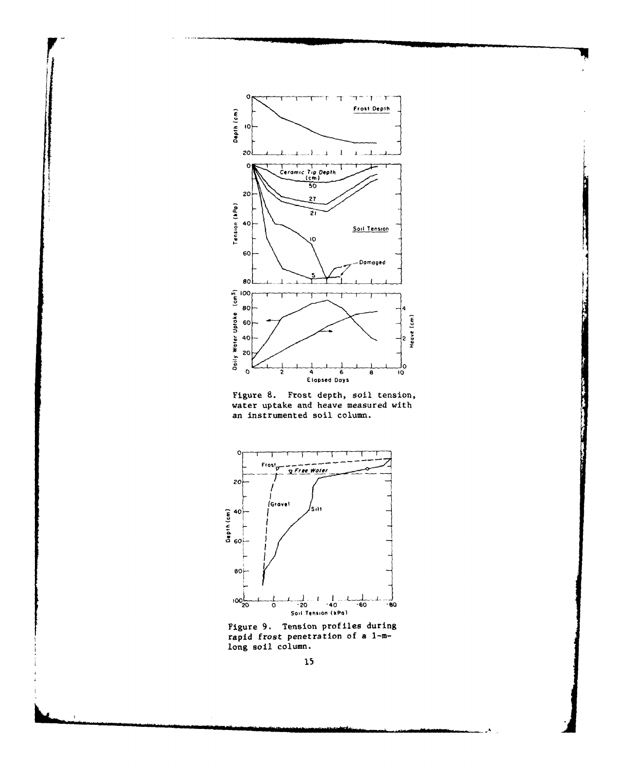





Figure 9. Tension profiles during rapid frost penetration of a 1-mlong soil column.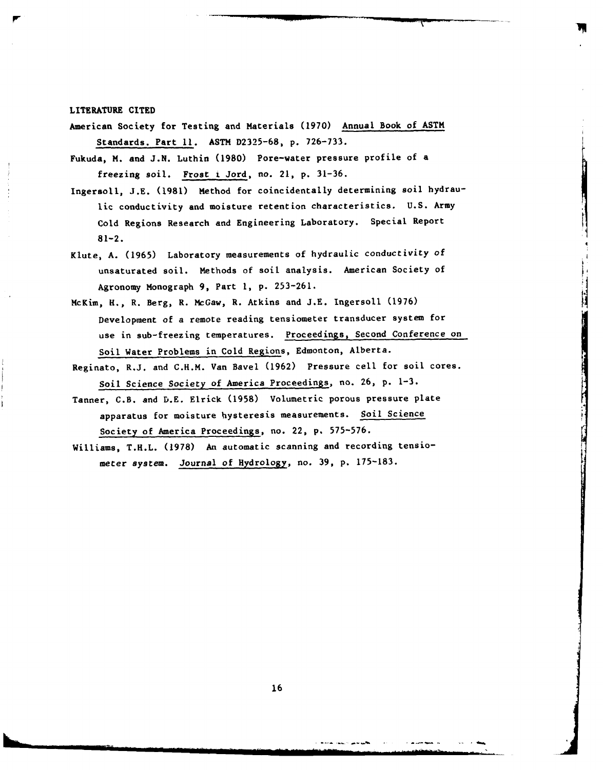LITERATURE **CITED**

- American Society for Testing and Materials **(1970)** Annual Book of ASTM Standards. Part **11. ASTM D2325-68, p. 726-733.**
- Fukuda, **M.** and **J.N.** Luthin **(1980)** Pore-water pressure profile of a freezing **soil.** Frost i Jord, no. 21, **p. 31-36.**
- Ingersoll, **J.E. (1981)** Method for coincidentally determining soil hydraulic conductivity and moisture retention characteristics. **U.S.** Army Cold Regions Research and Engineering Laboratory. Special Report **81-2.**
- Klute, A. **(1965)** Laboratory measurements of hydraulic conductivity **of** unsaturated soil. Methods of soil analysis. American Society of Agronomy Monograph **9,** Part **1,** p. **253-261.**
- McKim, H., R. Berg, R. McGaw, R. Atkins and **J.E.** Ingersoll **(1976)** Development of a remote reading tensiometer transducer system for use in sub-freezing temperatures. Proceedings, Second Conference on Soil Water Problems in Cold Regions, Edmonton, Alberta.
- Reginato, R.J. and C.H.M. Van Bavel **(1962)** Pressure cell for soil cores. Soil Science Society of America Proceedings, no. **26, p. 1-3.**
- Tanner, C.B. and D.E. Elrick (1958) Volumetric porous pressure plate apparatus for moisture hysteresis measurements. Soil Science Society of America Proceedings, no. 22, **p. 575-576.**
- Williams, T.H.L. **(1978)** An automatic scanning and recording tensiometer system. Journal of Hydrology, no. **39, p.** 175-183.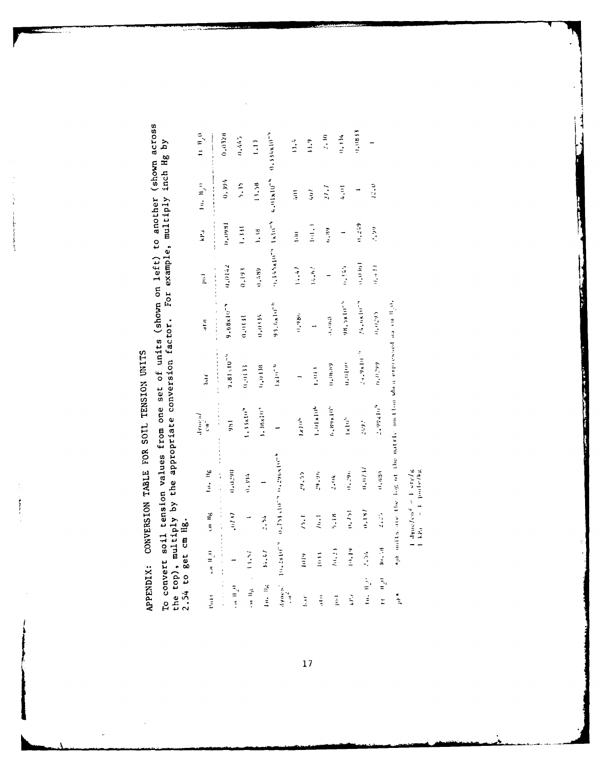APPENDIX: CONVERSION TABLE FOR SOIL TENSION UNITS

į. 

 $\label{eq:1} \begin{aligned} \mathcal{L}_{\mathcal{A}}(\mathbf{x},\mathbf{y}) = \mathcal{L}_{\mathcal{A}}(\mathbf{x},\mathbf{y}) \times \mathcal{L}_{\mathcal{A}}(\mathbf{x},\mathbf{y}) \times \mathcal{L}_{\mathcal{A}}(\mathbf{x},\mathbf{y}) \times \mathcal{L}_{\mathcal{A}}(\mathbf{x},\mathbf{y}) \times \mathcal{L}_{\mathcal{A}}(\mathbf{x},\mathbf{y}) \times \mathcal{L}_{\mathcal{A}}(\mathbf{x},\mathbf{y}) \times \mathcal{L}_{\mathcal{A}}(\mathbf{x},\mathbf{y}) \times \mathcal{L}_{\mathcal$ 

To convert soil tension values from one set of units (shown on left) to another (shown across<br>the top), multiply by the appropriate conversion factor. For example, multiply inch Hg by<br>2.54 to get cm Hg.

| l <sub>a</sub> ir                                                  | $\lim_{n\to\infty} \Pi_n(0)$      | un lig                       | lu, lig                                                                                                                                                                                                                                                                                                 | lynes/<br>$\cos^2$             | bar                       | atm                                                                                                                                                                                                                                                                                                                    | 化氧化物 医皮肤病<br>las<br>A          | 医小手足术 青年<br>$\ddot{x}$ | $(a, b)^n$            | $11 \frac{H}{H}$<br>$\begin{array}{c} \n\bullet & \bullet & \bullet & \bullet \\ \n\bullet & \bullet & \bullet & \bullet \\ \n\bullet & \bullet & \bullet & \bullet \\ \n\bullet & \bullet & \bullet & \bullet \\ \n\end{array}$ |
|--------------------------------------------------------------------|-----------------------------------|------------------------------|---------------------------------------------------------------------------------------------------------------------------------------------------------------------------------------------------------------------------------------------------------------------------------------------------------|--------------------------------|---------------------------|------------------------------------------------------------------------------------------------------------------------------------------------------------------------------------------------------------------------------------------------------------------------------------------------------------------------|--------------------------------|------------------------|-----------------------|----------------------------------------------------------------------------------------------------------------------------------------------------------------------------------------------------------------------------------|
| $\frac{1}{2}$                                                      | かんかん きょうしょ<br>$\overline{a}$      | $\ddot{\phantom{a}}$<br>(11) | 0.0290<br>$\frac{1}{2}$ and $\frac{1}{2}$ and $\frac{1}{2}$ and $\frac{1}{2}$ and $\frac{1}{2}$ and $\frac{1}{2}$ and $\frac{1}{2}$ and $\frac{1}{2}$ and $\frac{1}{2}$ and $\frac{1}{2}$ and $\frac{1}{2}$ and $\frac{1}{2}$ and $\frac{1}{2}$ and $\frac{1}{2}$ and $\frac{1}{2}$ and $\frac{1}{2}$ a | $\frac{1}{2}$<br>$\frac{1}{2}$ | .<br>$1.81 \cdot 10^{-4}$ | 9.68x10 <sup>-4</sup><br>$\frac{1}{2}$ and $\frac{1}{2}$ and $\frac{1}{2}$ and $\frac{1}{2}$ and $\frac{1}{2}$ and $\frac{1}{2}$ and $\frac{1}{2}$ and $\frac{1}{2}$ and $\frac{1}{2}$ and $\frac{1}{2}$ and $\frac{1}{2}$ and $\frac{1}{2}$ and $\frac{1}{2}$ and $\frac{1}{2}$ and $\frac{1}{2}$ and $\frac{1}{2}$ a | 0.0142                         | 1866170                | 0.394                 | 0.0128                                                                                                                                                                                                                           |
| $\frac{1}{2}$ if $\frac{1}{2}$                                     | 13.57                             |                              | 0.394                                                                                                                                                                                                                                                                                                   | 1.138104                       | 0.0133                    | 0.0131                                                                                                                                                                                                                                                                                                                 | (61.0)                         | $\frac{1}{2}$          | 5.15                  | 0.445                                                                                                                                                                                                                            |
| $\epsilon_{\rm{m}}$ H <sub>e</sub> $\epsilon_{\rm{m}}$ .<br>In. Ik | 14.47                             | $\ddot{5}$                   |                                                                                                                                                                                                                                                                                                         | $1.38 \times 10^{-4}$          | 0.018                     | 0.034                                                                                                                                                                                                                                                                                                                  | 6,7,89                         | $\frac{1}{2}$          | 13.58                 | $\frac{1}{2}$                                                                                                                                                                                                                    |
| dynes."                                                            |                                   |                              | $10.2819722$ and $10.781$ and $10.729$ and $10.729$                                                                                                                                                                                                                                                     |                                | $1 \times 10^{-10}$       | 9.3, 6.81972                                                                                                                                                                                                                                                                                                           | 19.145x10 <sup>-4</sup> 1x10-1 |                        | 4.01x10 <sup>-4</sup> | $0.336x10^{-9}$                                                                                                                                                                                                                  |
| $\frac{1}{2}$                                                      |                                   | $\frac{1}{2}$                | 29.35                                                                                                                                                                                                                                                                                                   | $\frac{1}{2}$                  |                           | (1, 18)                                                                                                                                                                                                                                                                                                                | 14.47                          | $\frac{1}{2}$          | $\frac{1}{2}$         | 13.4                                                                                                                                                                                                                             |
| ž                                                                  | i                                 |                              | واردوار                                                                                                                                                                                                                                                                                                 | $1.01\times10^{4}$             | $\frac{1}{2}$             |                                                                                                                                                                                                                                                                                                                        | 14.62                          | $\frac{1}{2}$          | $\frac{1}{2}$         | $\frac{1}{2}$                                                                                                                                                                                                                    |
| Ę                                                                  | $\frac{1}{2}$                     | $\frac{1}{2}$                | $-1.04$                                                                                                                                                                                                                                                                                                 | $6$ , $169$ x $10^{19}$        | 0.0689                    | denere                                                                                                                                                                                                                                                                                                                 |                                | 0.89                   | $\ddot{u}$            | $\frac{1}{2}$                                                                                                                                                                                                                    |
| $\frac{1}{2}$                                                      | 10.23                             | 5.18                         | 赤江                                                                                                                                                                                                                                                                                                      | $\frac{1}{x}$                  | $0.01$ ur                 | 18.5x1071                                                                                                                                                                                                                                                                                                              | $\frac{1}{2}$                  |                        | 4, 11                 | 0.334                                                                                                                                                                                                                            |
| i.<br>İ                                                            | <b>Selection</b><br>$\frac{1}{2}$ | (1,1.8)<br>(1, 7)            | 0.071                                                                                                                                                                                                                                                                                                   | 249.                           | $24.9 \times 10^{-9}$     | 24.681072                                                                                                                                                                                                                                                                                                              | (1,0,0,0)                      | 0.249                  |                       | (1.081)                                                                                                                                                                                                                          |
| $100$ , $1100$<br>$\begin{bmatrix} 1 & 1 \\ 1 & 1 \end{bmatrix}$   | 10.73                             | $\frac{1}{2}$                | (1, 63)                                                                                                                                                                                                                                                                                                 | 2,994104                       | 66.070                    | 0.0295                                                                                                                                                                                                                                                                                                                 | $\alpha_{\star}$ and $\beta$   | こうり                    | $\frac{1}{2}$         |                                                                                                                                                                                                                                  |
| $\frac{1}{2}$                                                      |                                   |                              | sprentia are the log of the matric suction when expressed as call.                                                                                                                                                                                                                                      |                                |                           |                                                                                                                                                                                                                                                                                                                        |                                |                        |                       |                                                                                                                                                                                                                                  |

 $\frac{1}{1 - kR_d} = \frac{1 - \frac{1}{2} \pi k}{1 - \frac{1}{2} \pi kR_d}$ 

**Contract of the contract of the Contract of the Contract of the Contract of the Contract of the Contract of the** 

 $\frac{17}{11}$